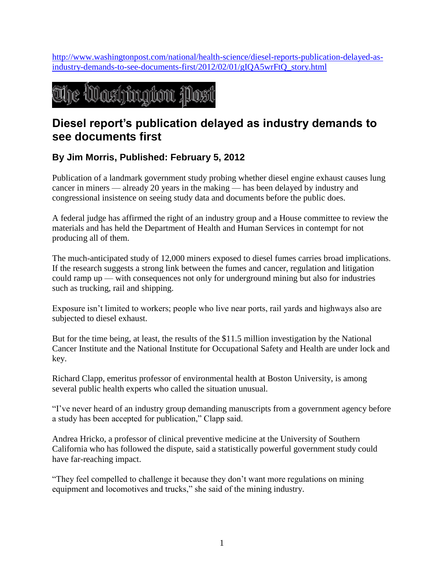[http://www.washingtonpost.com/national/health-science/diesel-reports-publication-delayed-as](http://www.washingtonpost.com/national/health-science/diesel-reports-publication-delayed-as-industry-demands-to-see-documents-first/2012/02/01/gIQA5wrFtQ_story.html)[industry-demands-to-see-documents-first/2012/02/01/gIQA5wrFtQ\\_story.html](http://www.washingtonpost.com/national/health-science/diesel-reports-publication-delayed-as-industry-demands-to-see-documents-first/2012/02/01/gIQA5wrFtQ_story.html)

# he Washington Post

## **Diesel report's publication delayed as industry demands to see documents first**

### **By Jim Morris, Published: February 5, 2012**

Publication of a landmark government study probing whether diesel engine exhaust causes lung cancer in miners — already 20 years in the making — has been delayed by industry and congressional insistence on seeing study data and documents before the public does.

A federal judge has affirmed the right of an industry group and a House committee to review the materials and has held the Department of Health and Human Services in contempt for not producing all of them.

The much-anticipated study of 12,000 miners exposed to diesel fumes carries broad implications. If the research suggests a strong link between the fumes and cancer, regulation and litigation could ramp up — with consequences not only for underground mining but also for industries such as trucking, rail and shipping.

Exposure isn't limited to workers; people who live near ports, rail yards and highways also are subjected to diesel exhaust.

But for the time being, at least, the results of the \$11.5 million investigation by the National Cancer Institute and the National Institute for Occupational Safety and Health are under lock and key.

Richard Clapp, emeritus professor of environmental health at Boston University, is among several public health experts who called the situation unusual.

"I've never heard of an industry group demanding manuscripts from a government agency before a study has been accepted for publication," Clapp said.

Andrea Hricko, a professor of clinical preventive medicine at the University of Southern California who has followed the dispute, said a statistically powerful government study could have far-reaching impact.

"They feel compelled to challenge it because they don't want more regulations on mining equipment and locomotives and trucks," she said of the mining industry.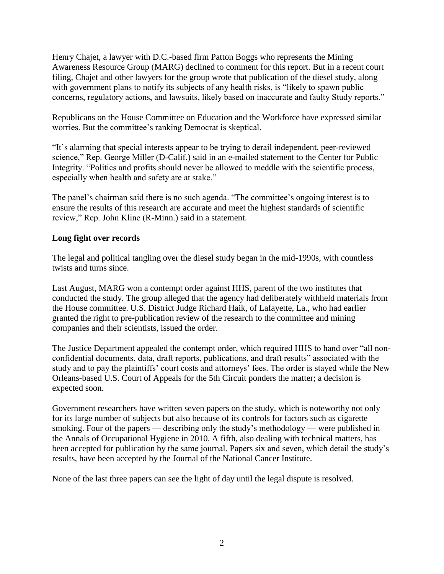Henry Chajet, a lawyer with D.C.-based firm Patton Boggs who represents the Mining Awareness Resource Group (MARG) declined to comment for this report. But in a recent court filing, Chajet and other lawyers for the group wrote that publication of the diesel study, along with government plans to notify its subjects of any health risks, is "likely to spawn public concerns, regulatory actions, and lawsuits, likely based on inaccurate and faulty Study reports."

Republicans on the House Committee on Education and the Workforce have expressed similar worries. But the committee's ranking Democrat is skeptical.

"It's alarming that special interests appear to be trying to derail independent, peer-reviewed science," Rep. George Miller (D-Calif.) said in an e-mailed statement to the Center for Public Integrity. "Politics and profits should never be allowed to meddle with the scientific process, especially when health and safety are at stake."

The panel's chairman said there is no such agenda. "The committee's ongoing interest is to ensure the results of this research are accurate and meet the highest standards of scientific review," Rep. John Kline (R-Minn.) said in a statement.

#### **Long fight over records**

The legal and political tangling over the diesel study began in the mid-1990s, with countless twists and turns since.

Last August, MARG won a contempt order against HHS, parent of the two institutes that conducted the study. The group alleged that the agency had deliberately withheld materials from the House committee. U.S. District Judge Richard Haik, of Lafayette, La., who had earlier granted the right to pre-publication review of the research to the committee and mining companies and their scientists, issued the order.

The Justice Department appealed the contempt order, which required HHS to hand over "all nonconfidential documents, data, draft reports, publications, and draft results" associated with the study and to pay the plaintiffs' court costs and attorneys' fees. The order is stayed while the New Orleans-based U.S. Court of Appeals for the 5th Circuit ponders the matter; a decision is expected soon.

Government researchers have written seven papers on the study, which is noteworthy not only for its large number of subjects but also because of its controls for factors such as cigarette smoking. Four of the papers — describing only the study's methodology — were published in the Annals of Occupational Hygiene in 2010. A fifth, also dealing with technical matters, has been accepted for publication by the same journal. Papers six and seven, which detail the study's results, have been accepted by the Journal of the National Cancer Institute.

None of the last three papers can see the light of day until the legal dispute is resolved.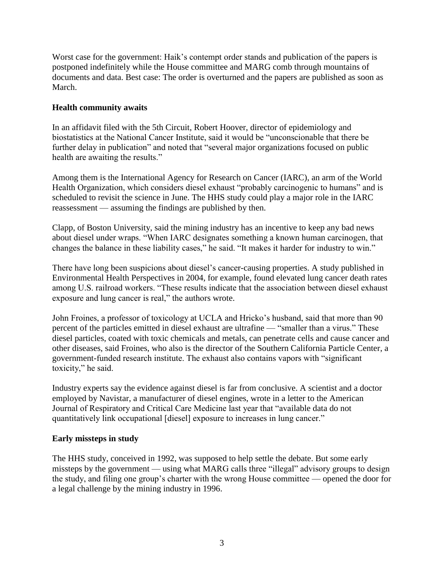Worst case for the government: Haik's contempt order stands and publication of the papers is postponed indefinitely while the House committee and MARG comb through mountains of documents and data. Best case: The order is overturned and the papers are published as soon as March.

#### **Health community awaits**

In an affidavit filed with the 5th Circuit, Robert Hoover, director of epidemiology and biostatistics at the National Cancer Institute, said it would be "unconscionable that there be further delay in publication" and noted that "several major organizations focused on public health are awaiting the results."

Among them is the International Agency for Research on Cancer (IARC), an arm of the World Health Organization, which considers diesel exhaust "probably carcinogenic to humans" and is scheduled to revisit the science in June. The HHS study could play a major role in the IARC reassessment — assuming the findings are published by then.

Clapp, of Boston University, said the mining industry has an incentive to keep any bad news about diesel under wraps. "When IARC designates something a known human carcinogen, that changes the balance in these liability cases," he said. "It makes it harder for industry to win."

There have long been suspicions about diesel's cancer-causing properties. A study published in Environmental Health Perspectives in 2004, for example, found elevated lung cancer death rates among U.S. railroad workers. "These results indicate that the association between diesel exhaust exposure and lung cancer is real," the authors wrote.

John Froines, a professor of toxicology at UCLA and Hricko's husband, said that more than 90 percent of the particles emitted in diesel exhaust are ultrafine — "smaller than a virus." These diesel particles, coated with toxic chemicals and metals, can penetrate cells and cause cancer and other diseases, said Froines, who also is the director of the Southern California Particle Center, a government-funded research institute. The exhaust also contains vapors with "significant toxicity," he said.

Industry experts say the evidence against diesel is far from conclusive. A scientist and a doctor employed by Navistar, a manufacturer of diesel engines, wrote in a letter to the American Journal of Respiratory and Critical Care Medicine last year that "available data do not quantitatively link occupational [diesel] exposure to increases in lung cancer."

#### **Early missteps in study**

The HHS study, conceived in 1992, was supposed to help settle the debate. But some early missteps by the government — using what MARG calls three "illegal" advisory groups to design the study, and filing one group's charter with the wrong House committee — opened the door for a legal challenge by the mining industry in 1996.